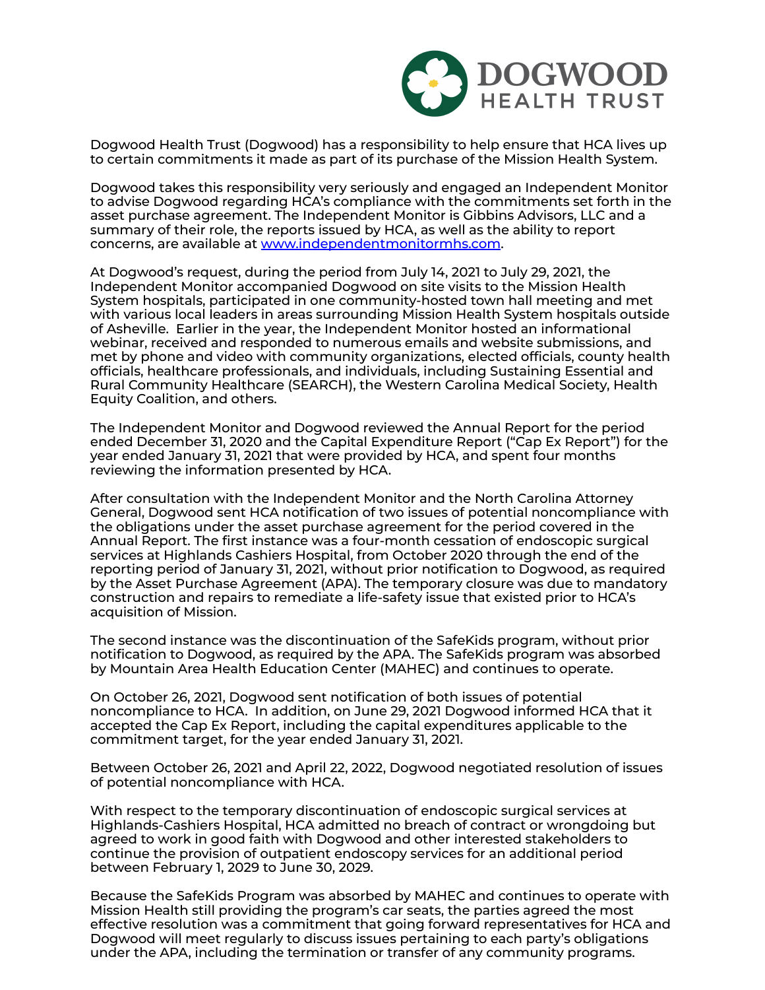

Dogwood Health Trust (Dogwood) has a responsibility to help ensure that HCA lives up to certain commitments it made as part of its purchase of the Mission Health System.

Dogwood takes this responsibility very seriously and engaged an Independent Monitor to advise Dogwood regarding HCA's compliance with the commitments set forth in the asset purchase agreement. The Independent Monitor is Gibbins Advisors, LLC and a summary of their role, the reports issued by HCA, as well as the ability to report concerns, are available at [www.independentmonitormhs.com.](http://www.independentmonitormhs.com/)

At Dogwood's request, during the period from July 14, 2021 to July 29, 2021, the Independent Monitor accompanied Dogwood on site visits to the Mission Health System hospitals, participated in one community-hosted town hall meeting and met with various local leaders in areas surrounding Mission Health System hospitals outside of Asheville. Earlier in the year, the Independent Monitor hosted an informational webinar, received and responded to numerous emails and website submissions, and met by phone and video with community organizations, elected officials, county health officials, healthcare professionals, and individuals, including Sustaining Essential and Rural Community Healthcare (SEARCH), the Western Carolina Medical Society, Health Equity Coalition, and others.

The Independent Monitor and Dogwood reviewed the Annual Report for the period ended December 31, 2020 and the Capital Expenditure Report ("Cap Ex Report") for the year ended January 31, 2021 that were provided by HCA, and spent four months reviewing the information presented by HCA.

After consultation with the Independent Monitor and the North Carolina Attorney General, Dogwood sent HCA notification of two issues of potential noncompliance with the obligations under the asset purchase agreement for the period covered in the Annual Report. The first instance was a four-month cessation of endoscopic surgical services at Highlands Cashiers Hospital, from October 2020 through the end of the reporting period of January 31, 2021, without prior notification to Dogwood, as required by the Asset Purchase Agreement (APA). The temporary closure was due to mandatory construction and repairs to remediate a life-safety issue that existed prior to HCA's acquisition of Mission.

The second instance was the discontinuation of the SafeKids program, without prior notification to Dogwood, as required by the APA. The SafeKids program was absorbed by Mountain Area Health Education Center (MAHEC) and continues to operate.

On October 26, 2021, Dogwood sent notification of both issues of potential noncompliance to HCA. In addition, on June 29, 2021 Dogwood informed HCA that it accepted the Cap Ex Report, including the capital expenditures applicable to the commitment target, for the year ended January 31, 2021.

Between October 26, 2021 and April 22, 2022, Dogwood negotiated resolution of issues of potential noncompliance with HCA.

With respect to the temporary discontinuation of endoscopic surgical services at Highlands-Cashiers Hospital, HCA admitted no breach of contract or wrongdoing but agreed to work in good faith with Dogwood and other interested stakeholders to continue the provision of outpatient endoscopy services for an additional period between February 1, 2029 to June 30, 2029.

Because the SafeKids Program was absorbed by MAHEC and continues to operate with Mission Health still providing the program's car seats, the parties agreed the most effective resolution was a commitment that going forward representatives for HCA and Dogwood will meet regularly to discuss issues pertaining to each party's obligations under the APA, including the termination or transfer of any community programs.